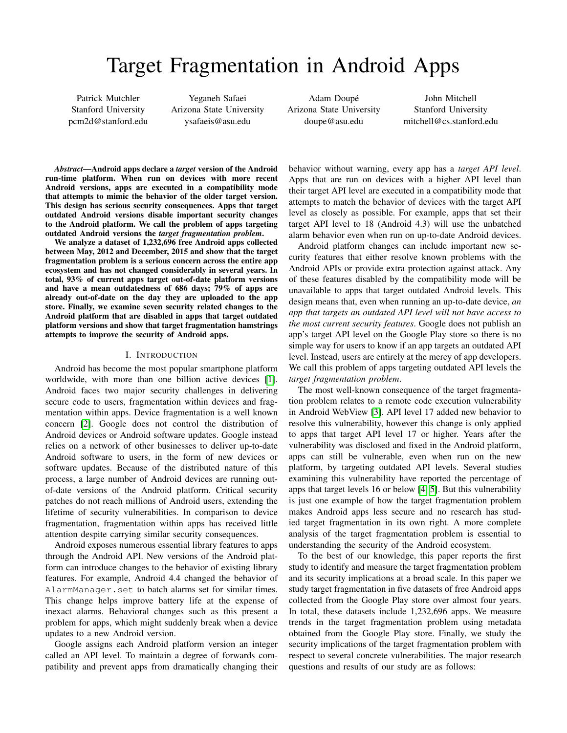# Target Fragmentation in Android Apps

Patrick Mutchler Stanford University pcm2d@stanford.edu

Yeganeh Safaei Arizona State University ysafaeis@asu.edu

Adam Doupé Arizona State University doupe@asu.edu

John Mitchell Stanford University mitchell@cs.stanford.edu

*Abstract*—Android apps declare a *target* version of the Android run-time platform. When run on devices with more recent Android versions, apps are executed in a compatibility mode that attempts to mimic the behavior of the older target version. This design has serious security consequences. Apps that target outdated Android versions disable important security changes to the Android platform. We call the problem of apps targeting outdated Android versions the *target fragmentation problem*.

We analyze a dataset of 1,232,696 free Android apps collected between May, 2012 and December, 2015 and show that the target fragmentation problem is a serious concern across the entire app ecosystem and has not changed considerably in several years. In total, 93% of current apps target out-of-date platform versions and have a mean outdatedness of 686 days; 79% of apps are already out-of-date on the day they are uploaded to the app store. Finally, we examine seven security related changes to the Android platform that are disabled in apps that target outdated platform versions and show that target fragmentation hamstrings attempts to improve the security of Android apps.

#### I. INTRODUCTION

Android has become the most popular smartphone platform worldwide, with more than one billion active devices [\[1\]](#page-9-0). Android faces two major security challenges in delivering secure code to users, fragmentation within devices and fragmentation within apps. Device fragmentation is a well known concern [\[2\]](#page-9-1). Google does not control the distribution of Android devices or Android software updates. Google instead relies on a network of other businesses to deliver up-to-date Android software to users, in the form of new devices or software updates. Because of the distributed nature of this process, a large number of Android devices are running outof-date versions of the Android platform. Critical security patches do not reach millions of Android users, extending the lifetime of security vulnerabilities. In comparison to device fragmentation, fragmentation within apps has received little attention despite carrying similar security consequences.

Android exposes numerous essential library features to apps through the Android API. New versions of the Android platform can introduce changes to the behavior of existing library features. For example, Android 4.4 changed the behavior of AlarmManager.set to batch alarms set for similar times. This change helps improve battery life at the expense of inexact alarms. Behavioral changes such as this present a problem for apps, which might suddenly break when a device updates to a new Android version.

Google assigns each Android platform version an integer called an API level. To maintain a degree of forwards compatibility and prevent apps from dramatically changing their behavior without warning, every app has a *target API level*. Apps that are run on devices with a higher API level than their target API level are executed in a compatibility mode that attempts to match the behavior of devices with the target API level as closely as possible. For example, apps that set their target API level to 18 (Android 4.3) will use the unbatched alarm behavior even when run on up-to-date Android devices.

Android platform changes can include important new security features that either resolve known problems with the Android APIs or provide extra protection against attack. Any of these features disabled by the compatibility mode will be unavailable to apps that target outdated Android levels. This design means that, even when running an up-to-date device, *an app that targets an outdated API level will not have access to the most current security features*. Google does not publish an app's target API level on the Google Play store so there is no simple way for users to know if an app targets an outdated API level. Instead, users are entirely at the mercy of app developers. We call this problem of apps targeting outdated API levels the *target fragmentation problem*.

The most well-known consequence of the target fragmentation problem relates to a remote code execution vulnerability in Android WebView [\[3\]](#page-9-2). API level 17 added new behavior to resolve this vulnerability, however this change is only applied to apps that target API level 17 or higher. Years after the vulnerability was disclosed and fixed in the Android platform, apps can still be vulnerable, even when run on the new platform, by targeting outdated API levels. Several studies examining this vulnerability have reported the percentage of apps that target levels 16 or below [\[4,](#page-9-3) [5\]](#page-9-4). But this vulnerability is just one example of how the target fragmentation problem makes Android apps less secure and no research has studied target fragmentation in its own right. A more complete analysis of the target fragmentation problem is essential to understanding the security of the Android ecosystem.

To the best of our knowledge, this paper reports the first study to identify and measure the target fragmentation problem and its security implications at a broad scale. In this paper we study target fragmentation in five datasets of free Android apps collected from the Google Play store over almost four years. In total, these datasets include 1,232,696 apps. We measure trends in the target fragmentation problem using metadata obtained from the Google Play store. Finally, we study the security implications of the target fragmentation problem with respect to several concrete vulnerabilities. The major research questions and results of our study are as follows: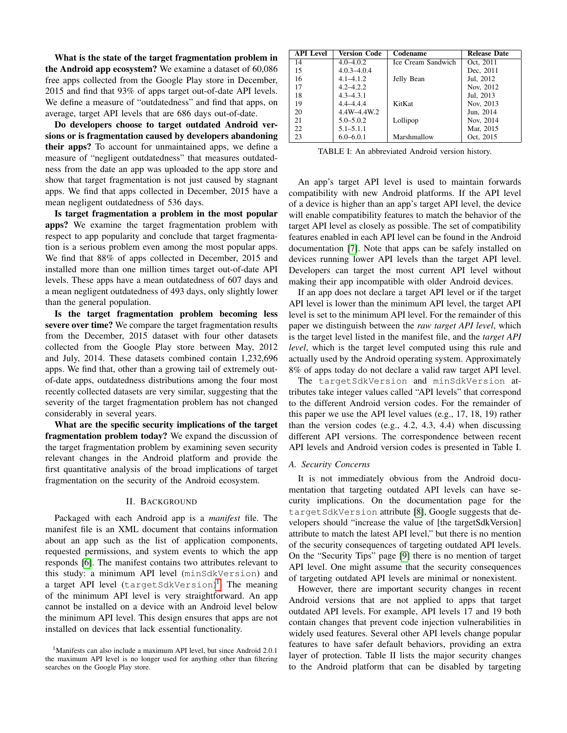What is the state of the target fragmentation problem in the Android app ecosystem? We examine a dataset of 60,086 free apps collected from the Google Play store in December, 2015 and find that 93% of apps target out-of-date API levels. We define a measure of "outdatedness" and find that apps, on average, target API levels that are 686 days out-of-date.

Do developers choose to target outdated Android versions or is fragmentation caused by developers abandoning their apps? To account for unmaintained apps, we define a measure of "negligent outdatedness" that measures outdatedness from the date an app was uploaded to the app store and show that target fragmentation is not just caused by stagnant apps. We find that apps collected in December, 2015 have a mean negligent outdatedness of 536 days.

Is target fragmentation a problem in the most popular apps? We examine the target fragmentation problem with respect to app popularity and conclude that target fragmentation is a serious problem even among the most popular apps. We find that 88% of apps collected in December, 2015 and installed more than one million times target out-of-date API levels. These apps have a mean outdatedness of 607 days and a mean negligent outdatedness of 493 days, only slightly lower than the general population.

Is the target fragmentation problem becoming less severe over time? We compare the target fragmentation results from the December, 2015 dataset with four other datasets collected from the Google Play store between May, 2012 and July, 2014. These datasets combined contain 1,232,696 apps. We find that, other than a growing tail of extremely outof-date apps, outdatedness distributions among the four most recently collected datasets are very similar, suggesting that the severity of the target fragmentation problem has not changed considerably in several years.

What are the specific security implications of the target fragmentation problem today? We expand the discussion of the target fragmentation problem by examining seven security relevant changes in the Android platform and provide the first quantitative analysis of the broad implications of target fragmentation on the security of the Android ecosystem.

### II. BACKGROUND

Packaged with each Android app is a *manifest* file. The manifest file is an XML document that contains information about an app such as the list of application components, requested permissions, and system events to which the app responds [\[6\]](#page-9-5). The manifest contains two attributes relevant to this study: a minimum API level (minSdkVersion) and a target API level (targetSdkVersion)<sup>[1](#page-1-0)</sup>. The meaning of the minimum API level is very straightforward. An app cannot be installed on a device with an Android level below the minimum API level. This design ensures that apps are not installed on devices that lack essential functionality.

| <b>API</b> Level | <b>Version Code</b> | Codename           | <b>Release Date</b> |
|------------------|---------------------|--------------------|---------------------|
| 14               | $4.0 - 4.0.2$       | Ice Cream Sandwich | Oct. 2011           |
| 15               | $4.0.3 - 4.0.4$     |                    | Dec, 2011           |
| 16               | $4.1 - 4.1.2$       | Jelly Bean         | Jul, 2012           |
| 17               | $4.2 - 4.2.2$       |                    | Nov. 2012           |
| 18               | $4.3 - 4.3.1$       |                    | Jul, 2013           |
| 19               | $4.4 - 4.4.4$       | KitKat             | Nov, 2013           |
| 20               | 4.4W-4.4W.2         |                    | Jun, 2014           |
| 21               | $5.0 - 5.0.2$       | Lollipop           | Nov. 2014           |
| 22               | $5.1 - 5.1.1$       |                    | Mar, 2015           |
| 23               | $6.0 - 6.0.1$       | Marshmallow        | Oct. 2015           |

TABLE I: An abbreviated Android version history.

An app's target API level is used to maintain forwards compatibility with new Android platforms. If the API level of a device is higher than an app's target API level, the device will enable compatibility features to match the behavior of the target API level as closely as possible. The set of compatibility features enabled in each API level can be found in the Android documentation [\[7\]](#page-9-6). Note that apps can be safely installed on devices running lower API levels than the target API level. Developers can target the most current API level without making their app incompatible with older Android devices.

If an app does not declare a target API level or if the target API level is lower than the minimum API level, the target API level is set to the minimum API level. For the remainder of this paper we distinguish between the *raw target API level*, which is the target level listed in the manifest file, and the *target API level*, which is the target level computed using this rule and actually used by the Android operating system. Approximately 8% of apps today do not declare a valid raw target API level.

The targetSdkVersion and minSdkVersion attributes take integer values called "API levels" that correspond to the different Android version codes. For the remainder of this paper we use the API level values (e.g., 17, 18, 19) rather than the version codes (e.g., 4.2, 4.3, 4.4) when discussing different API versions. The correspondence between recent API levels and Android version codes is presented in Table I.

#### *A. Security Concerns*

It is not immediately obvious from the Android documentation that targeting outdated API levels can have security implications. On the documentation page for the targetSdkVersion attribute [\[8\]](#page-9-7), Google suggests that developers should "increase the value of [the targetSdkVersion] attribute to match the latest API level," but there is no mention of the security consequences of targeting outdated API levels. On the "Security Tips" page [\[9\]](#page-9-8) there is no mention of target API level. One might assume that the security consequences of targeting outdated API levels are minimal or nonexistent.

However, there are important security changes in recent Android versions that are not applied to apps that target outdated API levels. For example, API levels 17 and 19 both contain changes that prevent code injection vulnerabilities in widely used features. Several other API levels change popular features to have safer default behaviors, providing an extra layer of protection. Table II lists the major security changes to the Android platform that can be disabled by targeting

<span id="page-1-0"></span><sup>1</sup>Manifests can also include a maximum API level, but since Android 2.0.1 the maximum API level is no longer used for anything other than filtering searches on the Google Play store.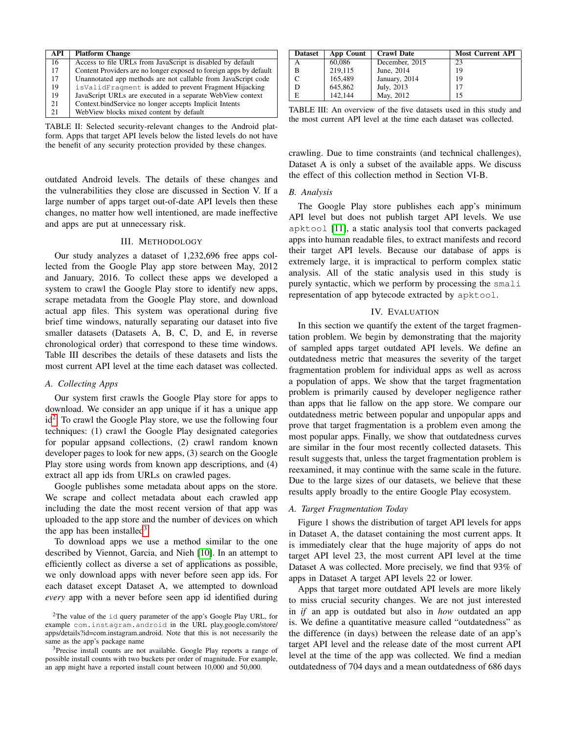| <b>API</b> | <b>Platform Change</b>                                             |
|------------|--------------------------------------------------------------------|
| 16         | Access to file URLs from JavaScript is disabled by default         |
| 17         | Content Providers are no longer exposed to foreign apps by default |
| 17         | Unannotated app methods are not callable from JavaScript code      |
| 19         | isValidFragment is added to prevent Fragment Hijacking             |
| 19         | JavaScript URLs are executed in a separate WebView context         |
| 21         | Context.bindService no longer accepts Implicit Intents             |
| 21         | WebView blocks mixed content by default                            |

TABLE II: Selected security-relevant changes to the Android platform. Apps that target API levels below the listed levels do not have the benefit of any security protection provided by these changes.

outdated Android levels. The details of these changes and the vulnerabilities they close are discussed in Section V. If a large number of apps target out-of-date API levels then these changes, no matter how well intentioned, are made ineffective and apps are put at unnecessary risk.

#### III. METHODOLOGY

Our study analyzes a dataset of 1,232,696 free apps collected from the Google Play app store between May, 2012 and January, 2016. To collect these apps we developed a system to crawl the Google Play store to identify new apps, scrape metadata from the Google Play store, and download actual app files. This system was operational during five brief time windows, naturally separating our dataset into five smaller datasets (Datasets A, B, C, D, and E, in reverse chronological order) that correspond to these time windows. Table III describes the details of these datasets and lists the most current API level at the time each dataset was collected.

#### *A. Collecting Apps*

Our system first crawls the Google Play store for apps to download. We consider an app unique if it has a unique app id<sup>[2](#page-2-0)</sup>. To crawl the Google Play store, we use the following four techniques: (1) crawl the Google Play designated categories for popular appsand collections, (2) crawl random known developer pages to look for new apps, (3) search on the Google Play store using words from known app descriptions, and (4) extract all app ids from URLs on crawled pages.

Google publishes some metadata about apps on the store. We scrape and collect metadata about each crawled app including the date the most recent version of that app was uploaded to the app store and the number of devices on which the app has been installed<sup>[3](#page-2-1)</sup>.

To download apps we use a method similar to the one described by Viennot, Garcia, and Nieh [\[10\]](#page-9-9). In an attempt to efficiently collect as diverse a set of applications as possible, we only download apps with never before seen app ids. For each dataset except Dataset A, we attempted to download *every* app with a never before seen app id identified during

| <b>Dataset</b> | App Count | <b>Crawl Date</b> | <b>Most Current API</b> |
|----------------|-----------|-------------------|-------------------------|
|                | 60,086    | December, 2015    | 23                      |
| B              | 219,115   | June, 2014        | 19                      |
| C              | 165,489   | January, 2014     | 19                      |
|                | 645,862   | July, 2013        | 17                      |
| E              | 142,144   | May, 2012         | 15                      |

TABLE III: An overview of the five datasets used in this study and the most current API level at the time each dataset was collected.

crawling. Due to time constraints (and technical challenges), Dataset A is only a subset of the available apps. We discuss the effect of this collection method in Section VI-B.

# *B. Analysis*

The Google Play store publishes each app's minimum API level but does not publish target API levels. We use apktool [\[11\]](#page-9-10), a static analysis tool that converts packaged apps into human readable files, to extract manifests and record their target API levels. Because our database of apps is extremely large, it is impractical to perform complex static analysis. All of the static analysis used in this study is purely syntactic, which we perform by processing the smali representation of app bytecode extracted by apktool.

#### IV. EVALUATION

In this section we quantify the extent of the target fragmentation problem. We begin by demonstrating that the majority of sampled apps target outdated API levels. We define an outdatedness metric that measures the severity of the target fragmentation problem for individual apps as well as across a population of apps. We show that the target fragmentation problem is primarily caused by developer negligence rather than apps that lie fallow on the app store. We compare our outdatedness metric between popular and unpopular apps and prove that target fragmentation is a problem even among the most popular apps. Finally, we show that outdatedness curves are similar in the four most recently collected datasets. This result suggests that, unless the target fragmentation problem is reexamined, it may continue with the same scale in the future. Due to the large sizes of our datasets, we believe that these results apply broadly to the entire Google Play ecosystem.

# *A. Target Fragmentation Today*

Figure 1 shows the distribution of target API levels for apps in Dataset A, the dataset containing the most current apps. It is immediately clear that the huge majority of apps do not target API level 23, the most current API level at the time Dataset A was collected. More precisely, we find that 93% of apps in Dataset A target API levels 22 or lower.

Apps that target more outdated API levels are more likely to miss crucial security changes. We are not just interested in *if* an app is outdated but also in *how* outdated an app is. We define a quantitative measure called "outdatedness" as the difference (in days) between the release date of an app's target API level and the release date of the most current API level at the time of the app was collected. We find a median outdatedness of 704 days and a mean outdatedness of 686 days

<span id="page-2-0"></span><sup>2</sup>The value of the id query parameter of the app's Google Play URL, for example com.instagram.android in the URL play.google.com/store/ apps/details?id=com.instagram.android. Note that this is not necessarily the same as the app's package name

<span id="page-2-1"></span><sup>&</sup>lt;sup>3</sup>Precise install counts are not available. Google Play reports a range of possible install counts with two buckets per order of magnitude. For example, an app might have a reported install count between 10,000 and 50,000.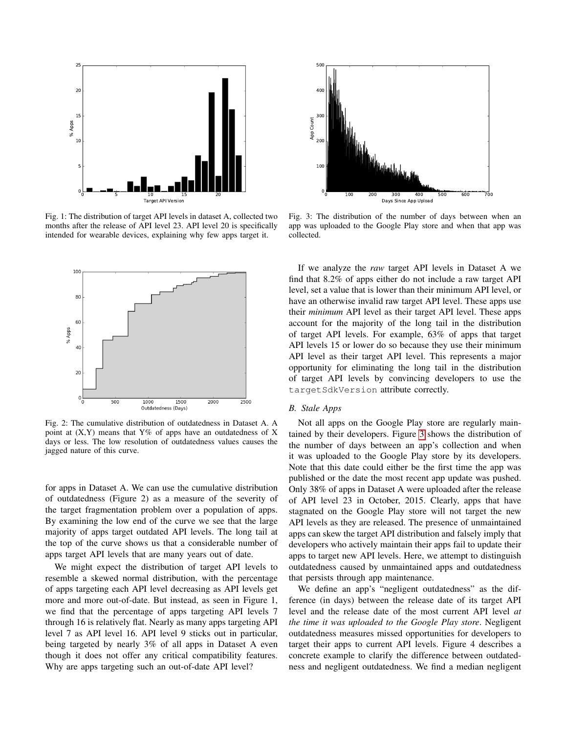

Fig. 1: The distribution of target API levels in dataset A, collected two months after the release of API level 23. API level 20 is specifically intended for wearable devices, explaining why few apps target it.



Fig. 2: The cumulative distribution of outdatedness in Dataset A. A point at  $(X, Y)$  means that  $Y\%$  of apps have an outdatedness of X days or less. The low resolution of outdatedness values causes the jagged nature of this curve.

for apps in Dataset A. We can use the cumulative distribution of outdatedness (Figure 2) as a measure of the severity of the target fragmentation problem over a population of apps. By examining the low end of the curve we see that the large majority of apps target outdated API levels. The long tail at the top of the curve shows us that a considerable number of apps target API levels that are many years out of date.

We might expect the distribution of target API levels to resemble a skewed normal distribution, with the percentage of apps targeting each API level decreasing as API levels get more and more out-of-date. But instead, as seen in Figure 1, we find that the percentage of apps targeting API levels 7 through 16 is relatively flat. Nearly as many apps targeting API level 7 as API level 16. API level 9 sticks out in particular, being targeted by nearly 3% of all apps in Dataset A even though it does not offer any critical compatibility features. Why are apps targeting such an out-of-date API level?

<span id="page-3-0"></span>

Fig. 3: The distribution of the number of days between when an app was uploaded to the Google Play store and when that app was collected.

If we analyze the *raw* target API levels in Dataset A we find that 8.2% of apps either do not include a raw target API level, set a value that is lower than their minimum API level, or have an otherwise invalid raw target API level. These apps use their *minimum* API level as their target API level. These apps account for the majority of the long tail in the distribution of target API levels. For example, 63% of apps that target API levels 15 or lower do so because they use their minimum API level as their target API level. This represents a major opportunity for eliminating the long tail in the distribution of target API levels by convincing developers to use the targetSdkVersion attribute correctly.

## *B. Stale Apps*

Not all apps on the Google Play store are regularly maintained by their developers. Figure [3](#page-3-0) shows the distribution of the number of days between an app's collection and when it was uploaded to the Google Play store by its developers. Note that this date could either be the first time the app was published or the date the most recent app update was pushed. Only 38% of apps in Dataset A were uploaded after the release of API level 23 in October, 2015. Clearly, apps that have stagnated on the Google Play store will not target the new API levels as they are released. The presence of unmaintained apps can skew the target API distribution and falsely imply that developers who actively maintain their apps fail to update their apps to target new API levels. Here, we attempt to distinguish outdatedness caused by unmaintained apps and outdatedness that persists through app maintenance.

We define an app's "negligent outdatedness" as the difference (in days) between the release date of its target API level and the release date of the most current API level *at the time it was uploaded to the Google Play store*. Negligent outdatedness measures missed opportunities for developers to target their apps to current API levels. Figure 4 describes a concrete example to clarify the difference between outdatedness and negligent outdatedness. We find a median negligent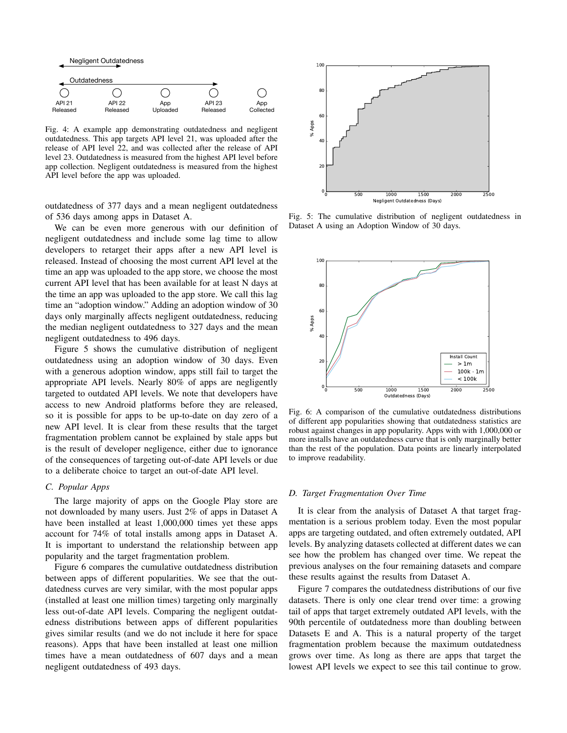

Fig. 4: A example app demonstrating outdatedness and negligent outdatedness. This app targets API level 21, was uploaded after the release of API level 22, and was collected after the release of API level 23. Outdatedness is measured from the highest API level before app collection. Negligent outdatedness is measured from the highest API level before the app was uploaded.

outdatedness of 377 days and a mean negligent outdatedness of 536 days among apps in Dataset A.

We can be even more generous with our definition of negligent outdatedness and include some lag time to allow developers to retarget their apps after a new API level is released. Instead of choosing the most current API level at the time an app was uploaded to the app store, we choose the most current API level that has been available for at least N days at the time an app was uploaded to the app store. We call this lag time an "adoption window." Adding an adoption window of 30 days only marginally affects negligent outdatedness, reducing the median negligent outdatedness to 327 days and the mean negligent outdatedness to 496 days.

Figure 5 shows the cumulative distribution of negligent outdatedness using an adoption window of 30 days. Even with a generous adoption window, apps still fail to target the appropriate API levels. Nearly 80% of apps are negligently targeted to outdated API levels. We note that developers have access to new Android platforms before they are released, so it is possible for apps to be up-to-date on day zero of a new API level. It is clear from these results that the target fragmentation problem cannot be explained by stale apps but is the result of developer negligence, either due to ignorance of the consequences of targeting out-of-date API levels or due to a deliberate choice to target an out-of-date API level.

## *C. Popular Apps*

The large majority of apps on the Google Play store are not downloaded by many users. Just 2% of apps in Dataset A have been installed at least 1,000,000 times yet these apps account for 74% of total installs among apps in Dataset A. It is important to understand the relationship between app popularity and the target fragmentation problem.

Figure 6 compares the cumulative outdatedness distribution between apps of different popularities. We see that the outdatedness curves are very similar, with the most popular apps (installed at least one million times) targeting only marginally less out-of-date API levels. Comparing the negligent outdatedness distributions between apps of different popularities gives similar results (and we do not include it here for space reasons). Apps that have been installed at least one million times have a mean outdatedness of 607 days and a mean negligent outdatedness of 493 days.



Fig. 5: The cumulative distribution of negligent outdatedness in Dataset A using an Adoption Window of 30 days.



Fig. 6: A comparison of the cumulative outdatedness distributions of different app popularities showing that outdatedness statistics are robust against changes in app popularity. Apps with with 1,000,000 or more installs have an outdatedness curve that is only marginally better than the rest of the population. Data points are linearly interpolated to improve readability.

## *D. Target Fragmentation Over Time*

It is clear from the analysis of Dataset A that target fragmentation is a serious problem today. Even the most popular apps are targeting outdated, and often extremely outdated, API levels. By analyzing datasets collected at different dates we can see how the problem has changed over time. We repeat the previous analyses on the four remaining datasets and compare these results against the results from Dataset A.

Figure 7 compares the outdatedness distributions of our five datasets. There is only one clear trend over time: a growing tail of apps that target extremely outdated API levels, with the 90th percentile of outdatedness more than doubling between Datasets E and A. This is a natural property of the target fragmentation problem because the maximum outdatedness grows over time. As long as there are apps that target the lowest API levels we expect to see this tail continue to grow.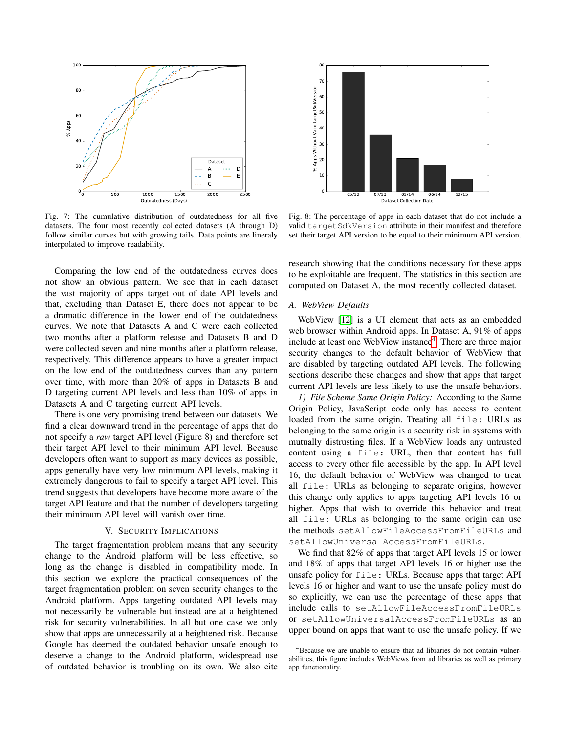

Fig. 7: The cumulative distribution of outdatedness for all five datasets. The four most recently collected datasets (A through D) follow similar curves but with growing tails. Data points are lineraly interpolated to improve readability.

Comparing the low end of the outdatedness curves does not show an obvious pattern. We see that in each dataset the vast majority of apps target out of date API levels and that, excluding than Dataset E, there does not appear to be a dramatic difference in the lower end of the outdatedness curves. We note that Datasets A and C were each collected two months after a platform release and Datasets B and D were collected seven and nine months after a platform release, respectively. This difference appears to have a greater impact on the low end of the outdatedness curves than any pattern over time, with more than 20% of apps in Datasets B and D targeting current API levels and less than 10% of apps in Datasets A and C targeting current API levels.

There is one very promising trend between our datasets. We find a clear downward trend in the percentage of apps that do not specify a *raw* target API level (Figure 8) and therefore set their target API level to their minimum API level. Because developers often want to support as many devices as possible, apps generally have very low minimum API levels, making it extremely dangerous to fail to specify a target API level. This trend suggests that developers have become more aware of the target API feature and that the number of developers targeting their minimum API level will vanish over time.

# V. SECURITY IMPLICATIONS

The target fragmentation problem means that any security change to the Android platform will be less effective, so long as the change is disabled in compatibility mode. In this section we explore the practical consequences of the target fragmentation problem on seven security changes to the Android platform. Apps targeting outdated API levels may not necessarily be vulnerable but instead are at a heightened risk for security vulnerabilities. In all but one case we only show that apps are unnecessarily at a heightened risk. Because Google has deemed the outdated behavior unsafe enough to deserve a change to the Android platform, widespread use of outdated behavior is troubling on its own. We also cite



Fig. 8: The percentage of apps in each dataset that do not include a valid targetSdkVersion attribute in their manifest and therefore set their target API version to be equal to their minimum API version.

research showing that the conditions necessary for these apps to be exploitable are frequent. The statistics in this section are computed on Dataset A, the most recently collected dataset.

## *A. WebView Defaults*

WebView [\[12\]](#page-9-11) is a UI element that acts as an embedded web browser within Android apps. In Dataset A, 91% of apps include at least one WebView instance<sup>[4](#page-5-0)</sup>. There are three major security changes to the default behavior of WebView that are disabled by targeting outdated API levels. The following sections describe these changes and show that apps that target current API levels are less likely to use the unsafe behaviors.

*1) File Scheme Same Origin Policy:* According to the Same Origin Policy, JavaScript code only has access to content loaded from the same origin. Treating all file: URLs as belonging to the same origin is a security risk in systems with mutually distrusting files. If a WebView loads any untrusted content using a file: URL, then that content has full access to every other file accessible by the app. In API level 16, the default behavior of WebView was changed to treat all file: URLs as belonging to separate origins, however this change only applies to apps targeting API levels 16 or higher. Apps that wish to override this behavior and treat all file: URLs as belonging to the same origin can use the methods setAllowFileAccessFromFileURLs and setAllowUniversalAccessFromFileURLs.

We find that 82% of apps that target API levels 15 or lower and 18% of apps that target API levels 16 or higher use the unsafe policy for file: URLs. Because apps that target API levels 16 or higher and want to use the unsafe policy must do so explicitly, we can use the percentage of these apps that include calls to setAllowFileAccessFromFileURLs or setAllowUniversalAccessFromFileURLs as an upper bound on apps that want to use the unsafe policy. If we

<span id="page-5-0"></span><sup>&</sup>lt;sup>4</sup>Because we are unable to ensure that ad libraries do not contain vulnerabilities, this figure includes WebViews from ad libraries as well as primary app functionality.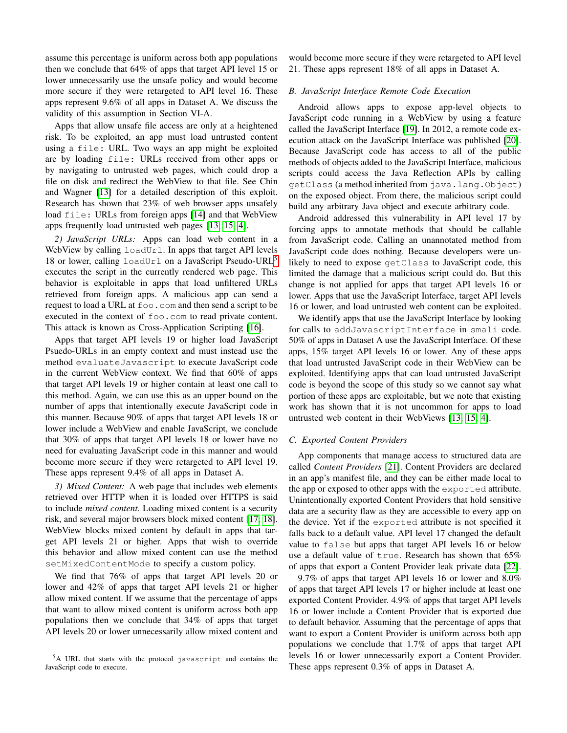assume this percentage is uniform across both app populations then we conclude that 64% of apps that target API level 15 or lower unnecessarily use the unsafe policy and would become more secure if they were retargeted to API level 16. These apps represent 9.6% of all apps in Dataset A. We discuss the validity of this assumption in Section VI-A.

Apps that allow unsafe file access are only at a heightened risk. To be exploited, an app must load untrusted content using a file: URL. Two ways an app might be exploited are by loading file: URLs received from other apps or by navigating to untrusted web pages, which could drop a file on disk and redirect the WebView to that file. See Chin and Wagner [\[13\]](#page-9-12) for a detailed description of this exploit. Research has shown that 23% of web browser apps unsafely load file: URLs from foreign apps [\[14\]](#page-9-13) and that WebView apps frequently load untrusted web pages [\[13,](#page-9-12) [15,](#page-9-14) [4\]](#page-9-3).

*2) JavaScript URLs:* Apps can load web content in a WebView by calling loadUrl. In apps that target API levels 18 or lower, calling  $l$ oadUrl on a JavaScript Pseudo-URL<sup>[5](#page-6-0)</sup> executes the script in the currently rendered web page. This behavior is exploitable in apps that load unfiltered URLs retrieved from foreign apps. A malicious app can send a request to load a URL at foo.com and then send a script to be executed in the context of foo.com to read private content. This attack is known as Cross-Application Scripting [\[16\]](#page-9-15).

Apps that target API levels 19 or higher load JavaScript Psuedo-URLs in an empty context and must instead use the method evaluateJavascript to execute JavaScript code in the current WebView context. We find that 60% of apps that target API levels 19 or higher contain at least one call to this method. Again, we can use this as an upper bound on the number of apps that intentionally execute JavaScript code in this manner. Because 90% of apps that target API levels 18 or lower include a WebView and enable JavaScript, we conclude that 30% of apps that target API levels 18 or lower have no need for evaluating JavaScript code in this manner and would become more secure if they were retargeted to API level 19. These apps represent 9.4% of all apps in Dataset A.

*3) Mixed Content:* A web page that includes web elements retrieved over HTTP when it is loaded over HTTPS is said to include *mixed content*. Loading mixed content is a security risk, and several major browsers block mixed content [\[17,](#page-9-16) [18\]](#page-9-17). WebView blocks mixed content by default in apps that target API levels 21 or higher. Apps that wish to override this behavior and allow mixed content can use the method setMixedContentMode to specify a custom policy.

We find that 76% of apps that target API levels 20 or lower and 42% of apps that target API levels 21 or higher allow mixed content. If we assume that the percentage of apps that want to allow mixed content is uniform across both app populations then we conclude that 34% of apps that target API levels 20 or lower unnecessarily allow mixed content and

would become more secure if they were retargeted to API level 21. These apps represent 18% of all apps in Dataset A.

# *B. JavaScript Interface Remote Code Execution*

Android allows apps to expose app-level objects to JavaScript code running in a WebView by using a feature called the JavaScript Interface [\[19\]](#page-9-18). In 2012, a remote code execution attack on the JavaScript Interface was published [\[20\]](#page-9-19). Because JavaScript code has access to all of the public methods of objects added to the JavaScript Interface, malicious scripts could access the Java Reflection APIs by calling getClass (a method inherited from java.lang.Object) on the exposed object. From there, the malicious script could build any arbitrary Java object and execute arbitrary code.

Android addressed this vulnerability in API level 17 by forcing apps to annotate methods that should be callable from JavaScript code. Calling an unannotated method from JavaScript code does nothing. Because developers were unlikely to need to expose getClass to JavaScript code, this limited the damage that a malicious script could do. But this change is not applied for apps that target API levels 16 or lower. Apps that use the JavaScript Interface, target API levels 16 or lower, and load untrusted web content can be exploited.

We identify apps that use the JavaScript Interface by looking for calls to addJavascriptInterface in smali code. 50% of apps in Dataset A use the JavaScript Interface. Of these apps, 15% target API levels 16 or lower. Any of these apps that load untrusted JavaScript code in their WebView can be exploited. Identifying apps that can load untrusted JavaScript code is beyond the scope of this study so we cannot say what portion of these apps are exploitable, but we note that existing work has shown that it is not uncommon for apps to load untrusted web content in their WebViews [\[13,](#page-9-12) [15,](#page-9-14) [4\]](#page-9-3).

# *C. Exported Content Providers*

App components that manage access to structured data are called *Content Providers* [\[21\]](#page-9-20). Content Providers are declared in an app's manifest file, and they can be either made local to the app or exposed to other apps with the exported attribute. Unintentionally exported Content Providers that hold sensitive data are a security flaw as they are accessible to every app on the device. Yet if the exported attribute is not specified it falls back to a default value. API level 17 changed the default value to false but apps that target API levels 16 or below use a default value of true. Research has shown that 65% of apps that export a Content Provider leak private data [\[22\]](#page-9-21).

9.7% of apps that target API levels 16 or lower and 8.0% of apps that target API levels 17 or higher include at least one exported Content Provider. 4.9% of apps that target API levels 16 or lower include a Content Provider that is exported due to default behavior. Assuming that the percentage of apps that want to export a Content Provider is uniform across both app populations we conclude that 1.7% of apps that target API levels 16 or lower unnecessarily export a Content Provider. These apps represent 0.3% of apps in Dataset A.

<span id="page-6-0"></span><sup>5</sup>A URL that starts with the protocol javascript and contains the JavaScript code to execute.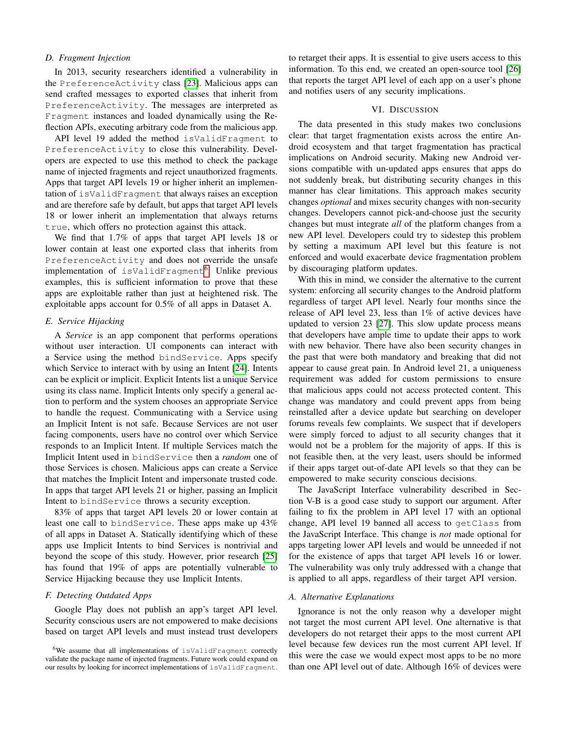## *D. Fragment Injection*

In 2013, security researchers identified a vulnerability in the PreferenceActivity class [\[23\]](#page-9-22). Malicious apps can send crafted messages to exported classes that inherit from PreferenceActivity. The messages are interpreted as Fragment instances and loaded dynamically using the Reflection APIs, executing arbitrary code from the malicious app.

API level 19 added the method isValidFragment to PreferenceActivity to close this vulnerability. Developers are expected to use this method to check the package name of injected fragments and reject unauthorized fragments. Apps that target API levels 19 or higher inherit an implementation of isValidFragment that always raises an exception and are therefore safe by default, but apps that target API levels 18 or lower inherit an implementation that always returns true, which offers no protection against this attack.

We find that 1.7% of apps that target API levels 18 or lower contain at least one exported class that inherits from PreferenceActivity and does not override the unsafe implementation of isValidFragment<sup>[6](#page-7-0)</sup>. Unlike previous examples, this is sufficient information to prove that these apps are exploitable rather than just at heightened risk. The exploitable apps account for 0.5% of all apps in Dataset A.

# *E. Service Hijacking*

A *Service* is an app component that performs operations without user interaction. UI components can interact with a Service using the method bindService. Apps specify which Service to interact with by using an Intent [\[24\]](#page-9-23). Intents can be explicit or implicit. Explicit Intents list a unique Service using its class name. Implicit Intents only specify a general action to perform and the system chooses an appropriate Service to handle the request. Communicating with a Service using an Implicit Intent is not safe. Because Services are not user facing components, users have no control over which Service responds to an Implicit Intent. If multiple Services match the Implicit Intent used in bindService then a *random* one of those Services is chosen. Malicious apps can create a Service that matches the Implicit Intent and impersonate trusted code. In apps that target API levels 21 or higher, passing an Implicit Intent to bindService throws a security exception.

83% of apps that target API levels 20 or lower contain at least one call to bindService. These apps make up 43% of all apps in Dataset A. Statically identifying which of these apps use Implicit Intents to bind Services is nontrivial and beyond the scope of this study. However, prior research [\[25\]](#page-9-24) has found that 19% of apps are potentially vulnerable to Service Hijacking because they use Implicit Intents.

## *F. Detecting Outdated Apps*

Google Play does not publish an app's target API level. Security conscious users are not empowered to make decisions based on target API levels and must instead trust developers

to retarget their apps. It is essential to give users access to this information. To this end, we created an open-source tool [\[26\]](#page-9-25) that reports the target API level of each app on a user's phone and notifies users of any security implications.

### VI. DISCUSSION

The data presented in this study makes two conclusions clear: that target fragmentation exists across the entire Android ecosystem and that target fragmentation has practical implications on Android security. Making new Android versions compatible with un-updated apps ensures that apps do not suddenly break, but distributing security changes in this manner has clear limitations. This approach makes security changes *optional* and mixes security changes with non-security changes. Developers cannot pick-and-choose just the security changes but must integrate *all* of the platform changes from a new API level. Developers could try to sidestep this problem by setting a maximum API level but this feature is not enforced and would exacerbate device fragmentation problem by discouraging platform updates.

With this in mind, we consider the alternative to the current system: enforcing all security changes to the Android platform regardless of target API level. Nearly four months since the release of API level 23, less than 1% of active devices have updated to version 23 [\[27\]](#page-9-26). This slow update process means that developers have ample time to update their apps to work with new behavior. There have also been security changes in the past that were both mandatory and breaking that did not appear to cause great pain. In Android level 21, a uniqueness requirement was added for custom permissions to ensure that malicious apps could not access protected content. This change was mandatory and could prevent apps from being reinstalled after a device update but searching on developer forums reveals few complaints. We suspect that if developers were simply forced to adjust to all security changes that it would not be a problem for the majority of apps. If this is not feasible then, at the very least, users should be informed if their apps target out-of-date API levels so that they can be empowered to make security conscious decisions.

The JavaScript Interface vulnerability described in Section V-B is a good case study to support our argument. After failing to fix the problem in API level 17 with an optional change, API level 19 banned all access to getClass from the JavaScript Interface. This change is *not* made optional for apps targeting lower API levels and would be unneeded if not for the existence of apps that target API levels 16 or lower. The vulnerability was only truly addressed with a change that is applied to all apps, regardless of their target API version.

# *A. Alternative Explanations*

Ignorance is not the only reason why a developer might not target the most current API level. One alternative is that developers do not retarget their apps to the most current API level because few devices run the most current API level. If this were the case we would expect most apps to be no more than one API level out of date. Although 16% of devices were

<span id="page-7-0"></span><sup>6</sup>We assume that all implementations of isValidFragment correctly validate the package name of injected fragments. Future work could expand on our results by looking for incorrect implementations of isValidFragment.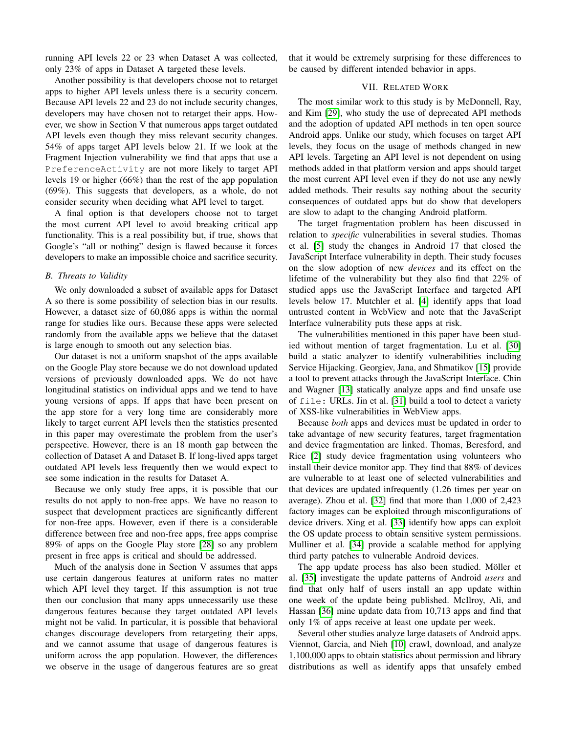running API levels 22 or 23 when Dataset A was collected, only 23% of apps in Dataset A targeted these levels.

Another possibility is that developers choose not to retarget apps to higher API levels unless there is a security concern. Because API levels 22 and 23 do not include security changes, developers may have chosen not to retarget their apps. However, we show in Section V that numerous apps target outdated API levels even though they miss relevant security changes. 54% of apps target API levels below 21. If we look at the Fragment Injection vulnerability we find that apps that use a PreferenceActivity are not more likely to target API levels 19 or higher (66%) than the rest of the app population (69%). This suggests that developers, as a whole, do not consider security when deciding what API level to target.

A final option is that developers choose not to target the most current API level to avoid breaking critical app functionality. This is a real possibility but, if true, shows that Google's "all or nothing" design is flawed because it forces developers to make an impossible choice and sacrifice security.

### *B. Threats to Validity*

We only downloaded a subset of available apps for Dataset A so there is some possibility of selection bias in our results. However, a dataset size of 60,086 apps is within the normal range for studies like ours. Because these apps were selected randomly from the available apps we believe that the dataset is large enough to smooth out any selection bias.

Our dataset is not a uniform snapshot of the apps available on the Google Play store because we do not download updated versions of previously downloaded apps. We do not have longitudinal statistics on individual apps and we tend to have young versions of apps. If apps that have been present on the app store for a very long time are considerably more likely to target current API levels then the statistics presented in this paper may overestimate the problem from the user's perspective. However, there is an 18 month gap between the collection of Dataset A and Dataset B. If long-lived apps target outdated API levels less frequently then we would expect to see some indication in the results for Dataset A.

Because we only study free apps, it is possible that our results do not apply to non-free apps. We have no reason to suspect that development practices are significantly different for non-free apps. However, even if there is a considerable difference between free and non-free apps, free apps comprise 89% of apps on the Google Play store [\[28\]](#page-9-27) so any problem present in free apps is critical and should be addressed.

Much of the analysis done in Section V assumes that apps use certain dangerous features at uniform rates no matter which API level they target. If this assumption is not true then our conclusion that many apps unnecessarily use these dangerous features because they target outdated API levels might not be valid. In particular, it is possible that behavioral changes discourage developers from retargeting their apps, and we cannot assume that usage of dangerous features is uniform across the app population. However, the differences we observe in the usage of dangerous features are so great that it would be extremely surprising for these differences to be caused by different intended behavior in apps.

# VII. RELATED WORK

The most similar work to this study is by McDonnell, Ray, and Kim [\[29\]](#page-9-28), who study the use of deprecated API methods and the adoption of updated API methods in ten open source Android apps. Unlike our study, which focuses on target API levels, they focus on the usage of methods changed in new API levels. Targeting an API level is not dependent on using methods added in that platform version and apps should target the most current API level even if they do not use any newly added methods. Their results say nothing about the security consequences of outdated apps but do show that developers are slow to adapt to the changing Android platform.

The target fragmentation problem has been discussed in relation to *specific* vulnerabilities in several studies. Thomas et al. [\[5\]](#page-9-4) study the changes in Android 17 that closed the JavaScript Interface vulnerability in depth. Their study focuses on the slow adoption of new *devices* and its effect on the lifetime of the vulnerability but they also find that 22% of studied apps use the JavaScript Interface and targeted API levels below 17. Mutchler et al. [\[4\]](#page-9-3) identify apps that load untrusted content in WebView and note that the JavaScript Interface vulnerability puts these apps at risk.

The vulnerabilities mentioned in this paper have been studied without mention of target fragmentation. Lu et al. [\[30\]](#page-9-29) build a static analyzer to identify vulnerabilities including Service Hijacking. Georgiev, Jana, and Shmatikov [\[15\]](#page-9-14) provide a tool to prevent attacks through the JavaScript Interface. Chin and Wagner [\[13\]](#page-9-12) statically analyze apps and find unsafe use of file: URLs. Jin et al. [\[31\]](#page-9-30) build a tool to detect a variety of XSS-like vulnerabilities in WebView apps.

Because *both* apps and devices must be updated in order to take advantage of new security features, target fragmentation and device fragmentation are linked. Thomas, Beresford, and Rice [\[2\]](#page-9-1) study device fragmentation using volunteers who install their device monitor app. They find that 88% of devices are vulnerable to at least one of selected vulnerabilities and that devices are updated infrequently (1.26 times per year on average). Zhou et al. [\[32\]](#page-9-31) find that more than 1,000 of 2,423 factory images can be exploited through misconfigurations of device drivers. Xing et al. [\[33\]](#page-9-32) identify how apps can exploit the OS update process to obtain sensitive system permissions. Mulliner et al. [\[34\]](#page-9-33) provide a scalable method for applying third party patches to vulnerable Android devices.

The app update process has also been studied. Möller et al. [\[35\]](#page-9-34) investigate the update patterns of Android *users* and find that only half of users install an app update within one week of the update being published. McIlroy, Ali, and Hassan [\[36\]](#page-9-35) mine update data from 10,713 apps and find that only 1% of apps receive at least one update per week.

Several other studies analyze large datasets of Android apps. Viennot, Garcia, and Nieh [\[10\]](#page-9-9) crawl, download, and analyze 1,100,000 apps to obtain statistics about permission and library distributions as well as identify apps that unsafely embed